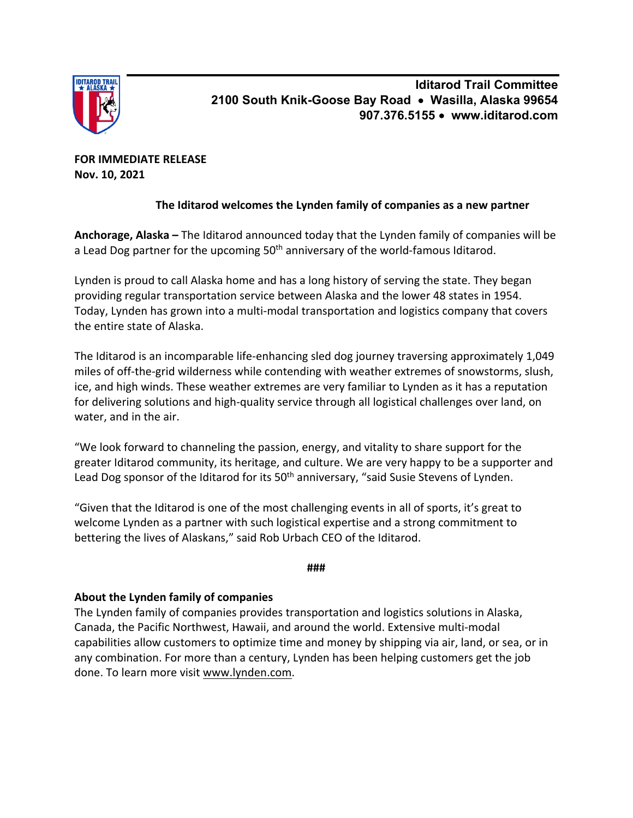

**Iditarod Trail Committee 2100 South Knik-Goose Bay Road** • **Wasilla, Alaska 99654 907.376.5155** • **www.iditarod.com**

**FOR IMMEDIATE RELEASE Nov. 10, 2021**

## **The Iditarod welcomes the Lynden family of companies as a new partner**

**Anchorage, Alaska –** The Iditarod announced today that the Lynden family of companies will be a Lead Dog partner for the upcoming 50<sup>th</sup> anniversary of the world-famous Iditarod.

Lynden is proud to call Alaska home and has a long history of serving the state. They began providing regular transportation service between Alaska and the lower 48 states in 1954. Today, Lynden has grown into a multi-modal transportation and logistics company that covers the entire state of Alaska.

The Iditarod is an incomparable life-enhancing sled dog journey traversing approximately 1,049 miles of off-the-grid wilderness while contending with weather extremes of snowstorms, slush, ice, and high winds. These weather extremes are very familiar to Lynden as it has a reputation for delivering solutions and high-quality service through all logistical challenges over land, on water, and in the air.

"We look forward to channeling the passion, energy, and vitality to share support for the greater Iditarod community, its heritage, and culture. We are very happy to be a supporter and Lead Dog sponsor of the Iditarod for its 50<sup>th</sup> anniversary, "said Susie Stevens of Lynden.

"Given that the Iditarod is one of the most challenging events in all of sports, it's great to welcome Lynden as a partner with such logistical expertise and a strong commitment to bettering the lives of Alaskans," said Rob Urbach CEO of the Iditarod.

**###**

## **About the Lynden family of companies**

The Lynden family of companies provides transportation and logistics solutions in Alaska, Canada, the Pacific Northwest, Hawaii, and around the world. Extensive multi-modal capabilities allow customers to optimize time and money by shipping via air, land, or sea, or in any combination. For more than a century, Lynden has been helping customers get the job done. To learn more visit www.lynden.com.